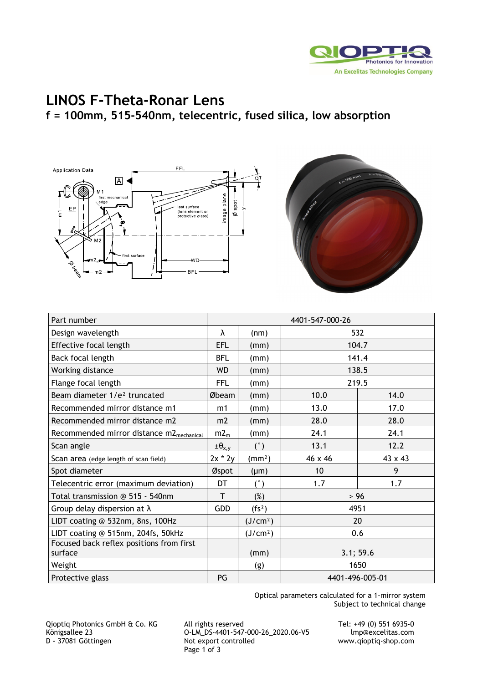

## **LINOS F-Theta-Ronar Lens**

**f = 100mm, 515-540nm, telecentric, fused silica, low absorption** 





| Part number                                          | 4401-547-000-26    |                      |                 |         |
|------------------------------------------------------|--------------------|----------------------|-----------------|---------|
| Design wavelength                                    | λ                  | (nm)                 | 532             |         |
| Effective focal length                               | <b>EFL</b>         | (mm)                 | 104.7           |         |
| Back focal length                                    | <b>BFL</b>         | (mm)                 | 141.4           |         |
| Working distance                                     | <b>WD</b>          | (mm)                 | 138.5           |         |
| Flange focal length                                  | FFL                | (mm)                 | 219.5           |         |
| Beam diameter 1/e <sup>2</sup> truncated             | Øbeam              | (mm)                 | 10.0            | 14.0    |
| Recommended mirror distance m1                       | m1                 | (mm)                 | 13.0            | 17.0    |
| Recommended mirror distance m2                       | m <sub>2</sub>     | (mm)                 | 28.0            | 28.0    |
| Recommended mirror distance m2 <sub>mechanical</sub> | $m2_m$             | (mm)                 | 24.1            | 24.1    |
| Scan angle                                           | $\pm \theta_{x,y}$ | (°)                  | 13.1            | 12.2    |
| Scan area (edge length of scan field)                | $2x * 2y$          | (mm <sup>2</sup> )   | 46 x 46         | 43 x 43 |
| Spot diameter                                        | Øspot              | $(\mu m)$            | 10              | 9       |
| Telecentric error (maximum deviation)                | DT                 | (°)                  | 1.7             | 1.7     |
| Total transmission @ 515 - 540nm                     | T                  | $(\%)$               | $>96$           |         |
| Group delay dispersion at $\lambda$                  | <b>GDD</b>         | (fs <sup>2</sup> )   | 4951            |         |
| LIDT coating @ 532nm, 8ns, 100Hz                     |                    | (J/cm <sup>2</sup> ) | 20              |         |
| LIDT coating @ 515nm, 204fs, 50kHz                   |                    | (J/cm <sup>2</sup> ) | 0.6             |         |
| Focused back reflex positions from first<br>surface  |                    | (mm)                 | 3.1; 59.6       |         |
| Weight                                               |                    | (g)                  | 1650            |         |
| Protective glass                                     | PG                 |                      | 4401-496-005-01 |         |

Optical parameters calculated for a 1-mirror system Subject to technical change

Qioptiq Photonics GmbH & Co. KG All rights reserved Tel: +49 (0) 551 6935-0 Supply and the control of the control of the CD-LM\_DS-4401-547-000-26\_2020.06-V5<br>Königsallee 23 O-LM\_DS-4401-547-000-26\_2020.06-V5<br>D - 37081 Göttingen Not export controlled Page 1 of 3

www.qioptiq-shop.com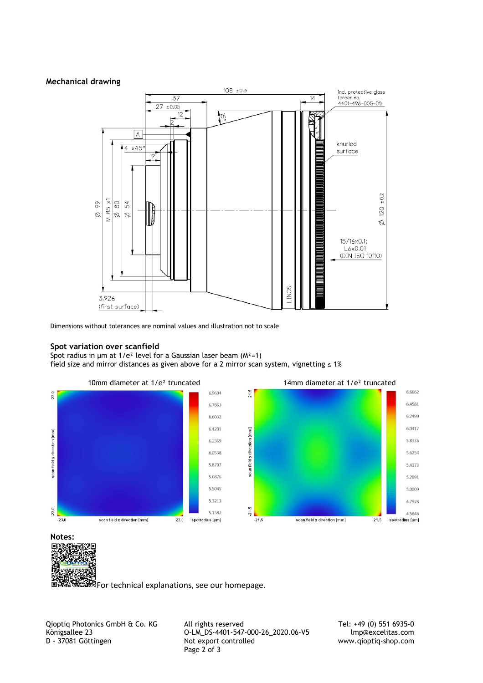## **Mechanical drawing**



Dimensions without tolerances are nominal values and illustration not to scale

## **Spot variation over scanfield**

Spot radius in  $\mu$ m at 1/e<sup>2</sup> level for a Gaussian laser beam ( $M^2$ =1) field size and mirror distances as given above for a 2 mirror scan system, vignetting  $\leq 1\%$ 





For technical explanations, see our homepage.

Qioptiq Photonics GmbH & Co. KG All rights reserved Tel: +49 (0) 551 6935-0<br>C-LM\_DS-4401-547-000-26\_2020.06-V5 mp@excelitas.com Königsallee 23 O-LM\_DS-4401-547-000-26\_2020.06-V5 lmp@excelitas.com<br>D - 37081 Göttingen Not export controlled www.qioptiq-shop.com Page 2 of 3

www.qioptiq-shop.com